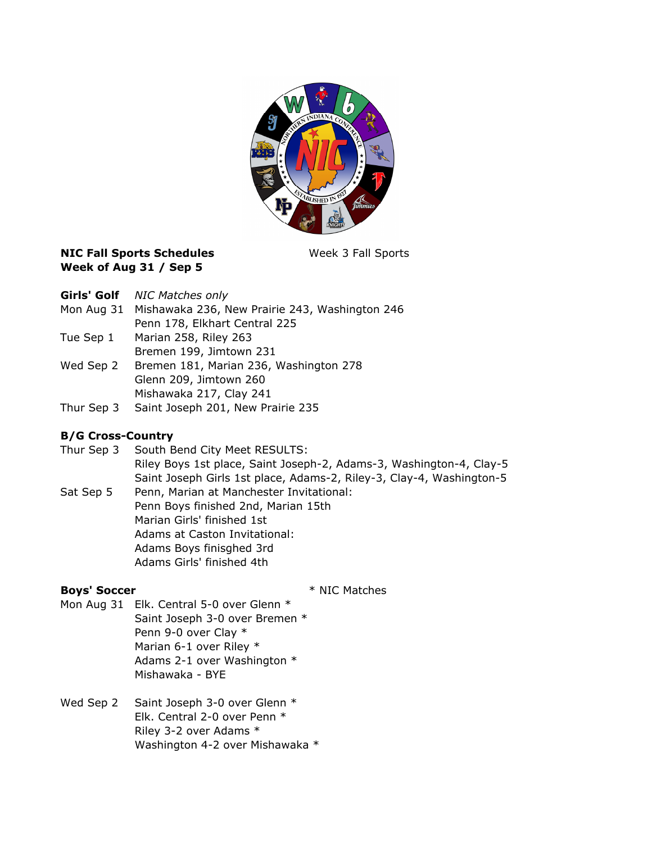

## **NIC Fall Sports Schedules** Week 3 Fall Sports Week of Aug 31 / Sep 5

- Girls' Golf NIC Matches only
- Mon Aug 31 Mishawaka 236, New Prairie 243, Washington 246 Penn 178, Elkhart Central 225
- Tue Sep 1 Marian 258, Riley 263 Bremen 199, Jimtown 231
- Wed Sep 2 Bremen 181, Marian 236, Washington 278 Glenn 209, Jimtown 260 Mishawaka 217, Clay 241
- Thur Sep 3 Saint Joseph 201, New Prairie 235

# B/G Cross-Country

- Thur Sep 3 South Bend City Meet RESULTS: Riley Boys 1st place, Saint Joseph-2, Adams-3, Washington-4, Clay-5 Saint Joseph Girls 1st place, Adams-2, Riley-3, Clay-4, Washington-5
- Sat Sep 5 Penn, Marian at Manchester Invitational: Penn Boys finished 2nd, Marian 15th Marian Girls' finished 1st Adams at Caston Invitational: Adams Boys finisghed 3rd Adams Girls' finished 4th

Boys' Soccer \* NIC Matches

- Mon Aug 31 Elk. Central 5-0 over Glenn \* Saint Joseph 3-0 over Bremen \* Penn 9-0 over Clay \* Marian 6-1 over Riley \* Adams 2-1 over Washington \* Mishawaka - BYE
- Wed Sep 2 Saint Joseph 3-0 over Glenn \* Elk. Central 2-0 over Penn \* Riley 3-2 over Adams \* Washington 4-2 over Mishawaka \*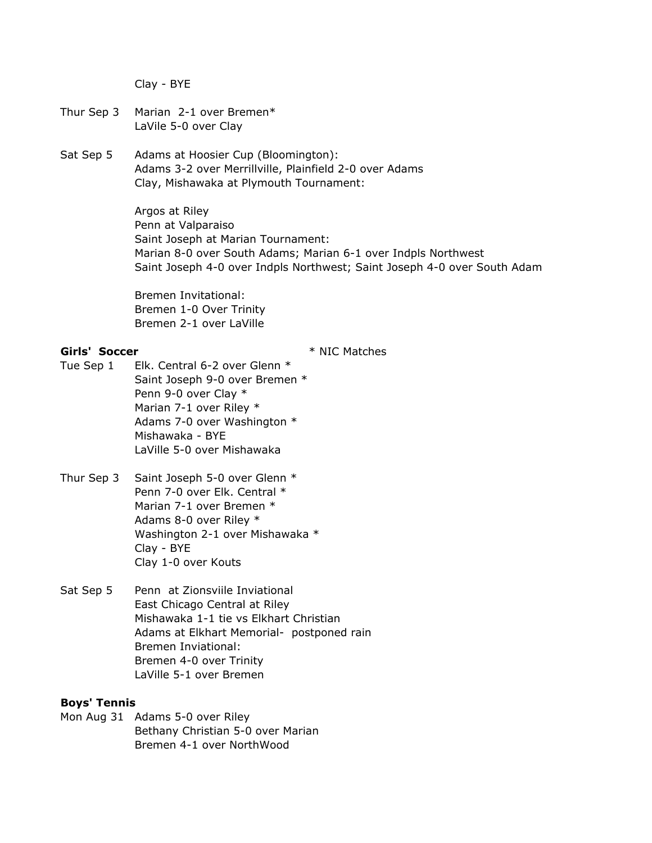Clay - BYE

- Thur Sep 3 Marian 2-1 over Bremen\* LaVile 5-0 over Clay
- Sat Sep 5 Adams at Hoosier Cup (Bloomington): Adams 3-2 over Merrillville, Plainfield 2-0 over Adams Clay, Mishawaka at Plymouth Tournament:

Argos at Riley Penn at Valparaiso Saint Joseph at Marian Tournament: Marian 8-0 over South Adams; Marian 6-1 over Indpls Northwest Saint Joseph 4-0 over Indpls Northwest; Saint Joseph 4-0 over South Adams

Bremen Invitational: Bremen 1-0 Over Trinity Bremen 2-1 over LaVille

### Girls' Soccer **\*** NIC Matches

- Tue Sep 1 Elk. Central 6-2 over Glenn \* Saint Joseph 9-0 over Bremen \* Penn 9-0 over Clay \* Marian 7-1 over Riley \* Adams 7-0 over Washington \* Mishawaka - BYE LaVille 5-0 over Mishawaka
- Thur Sep 3 Saint Joseph 5-0 over Glenn \* Penn 7-0 over Elk. Central \* Marian 7-1 over Bremen \* Adams 8-0 over Riley \* Washington 2-1 over Mishawaka \* Clay - BYE Clay 1-0 over Kouts
- Sat Sep 5 Penn at Zionsviile Inviational East Chicago Central at Riley Mishawaka 1-1 tie vs Elkhart Christian Adams at Elkhart Memorial- postponed rain Bremen Inviational: Bremen 4-0 over Trinity LaVille 5-1 over Bremen

#### Boys' Tennis

Mon Aug 31 Adams 5-0 over Riley Bethany Christian 5-0 over Marian Bremen 4-1 over NorthWood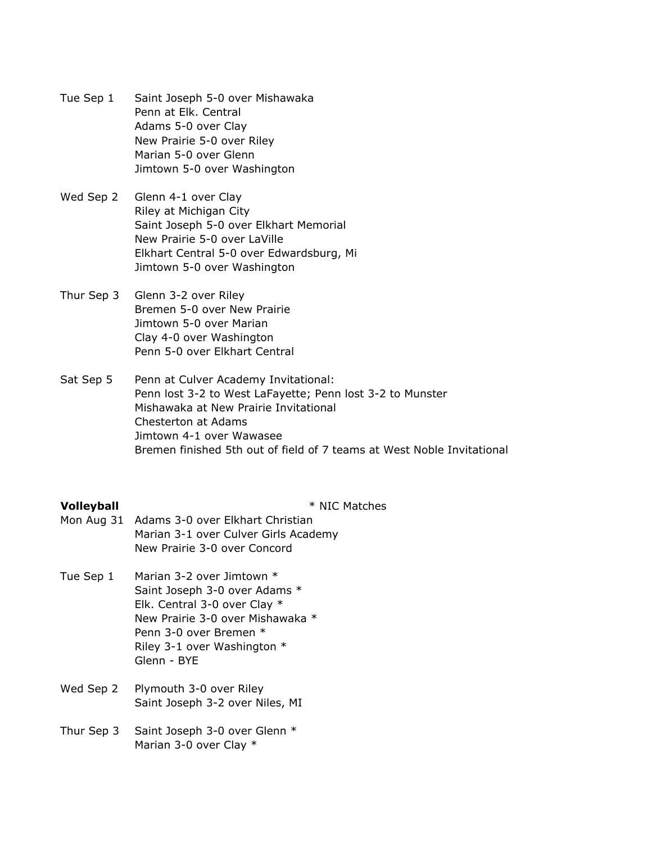- Tue Sep 1 Saint Joseph 5-0 over Mishawaka Penn at Elk. Central Adams 5-0 over Clay New Prairie 5-0 over Riley Marian 5-0 over Glenn Jimtown 5-0 over Washington
- Wed Sep 2 Glenn 4-1 over Clay Riley at Michigan City Saint Joseph 5-0 over Elkhart Memorial New Prairie 5-0 over LaVille Elkhart Central 5-0 over Edwardsburg, Mi Jimtown 5-0 over Washington
- Thur Sep 3 Glenn 3-2 over Riley Bremen 5-0 over New Prairie Jimtown 5-0 over Marian Clay 4-0 over Washington Penn 5-0 over Elkhart Central
- Sat Sep 5 Penn at Culver Academy Invitational: Penn lost 3-2 to West LaFayette; Penn lost 3-2 to Munster Mishawaka at New Prairie Invitational Chesterton at Adams Jimtown 4-1 over Wawasee Bremen finished 5th out of field of 7 teams at West Noble Invitational

**Volleyball**  $*$  NIC Matches

- Mon Aug 31 Adams 3-0 over Elkhart Christian Marian 3-1 over Culver Girls Academy New Prairie 3-0 over Concord
- Tue Sep 1 Marian 3-2 over Jimtown \* Saint Joseph 3-0 over Adams \* Elk. Central 3-0 over Clay \* New Prairie 3-0 over Mishawaka \* Penn 3-0 over Bremen \* Riley 3-1 over Washington \* Glenn - BYE
- Wed Sep 2 Plymouth 3-0 over Riley Saint Joseph 3-2 over Niles, MI
- Thur Sep 3 Saint Joseph 3-0 over Glenn \* Marian 3-0 over Clay \*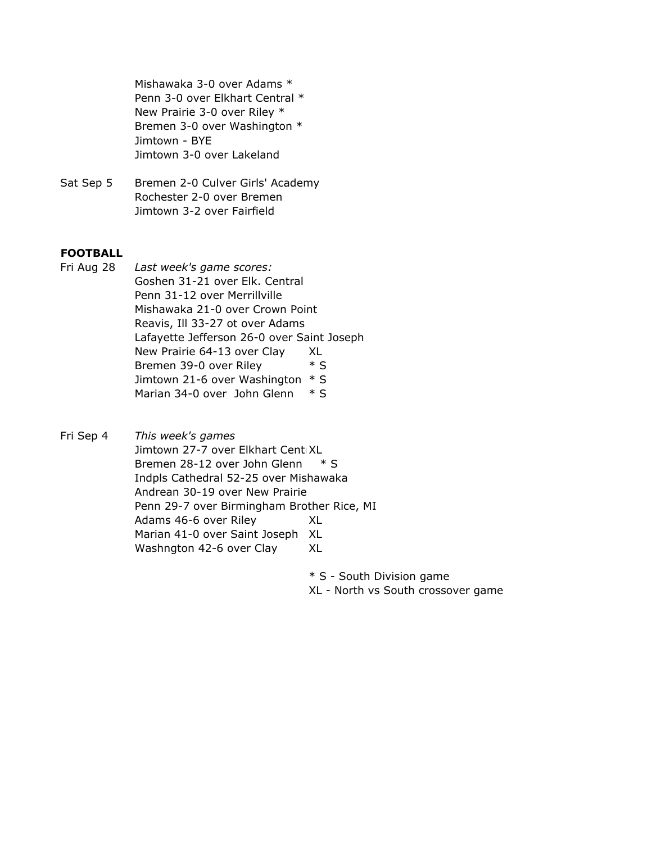Mishawaka 3-0 over Adams \* Penn 3-0 over Elkhart Central \* New Prairie 3-0 over Riley \* Bremen 3-0 over Washington \* Jimtown - BYE Jimtown 3-0 over Lakeland

Sat Sep 5 Bremen 2-0 Culver Girls' Academy Rochester 2-0 over Bremen Jimtown 3-2 over Fairfield

### FOOTBALL

- Fri Aug 28 Last week's game scores: Goshen 31-21 over Elk. Central Penn 31-12 over Merrillville Mishawaka 21-0 over Crown Point Reavis, Ill 33-27 ot over Adams Lafayette Jefferson 26-0 over Saint Joseph New Prairie 64-13 over Clay XL Bremen 39-0 over Riley \* S Jimtown 21-6 over Washington \* S Marian 34-0 over John Glenn  $* S$
- Fri Sep 4 This week's games Jimtown 27-7 over Elkhart CentrXL Bremen 28-12 over John Glenn \* S Indpls Cathedral 52-25 over Mishawaka Andrean 30-19 over New Prairie Penn 29-7 over Birmingham Brother Rice, MI Adams 46-6 over Riley XL Marian 41-0 over Saint Joseph XL Washngton 42-6 over Clay XL
	- \* S South Division game XL - North vs South crossover game